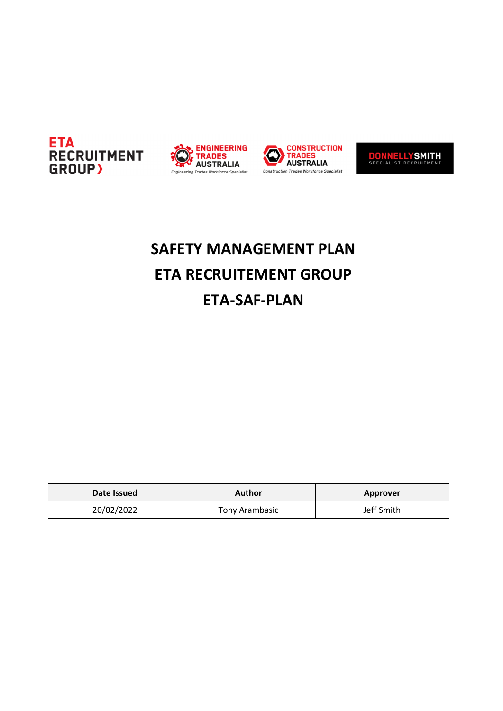





**DONNELLYSMITH** 

# **SAFETY MANAGEMENT PLAN ETA RECRUITEMENT GROUP ETA-SAF-PLAN**

| Date Issued | Author         | Approver   |
|-------------|----------------|------------|
| 20/02/2022  | Tony Arambasic | Jeff Smith |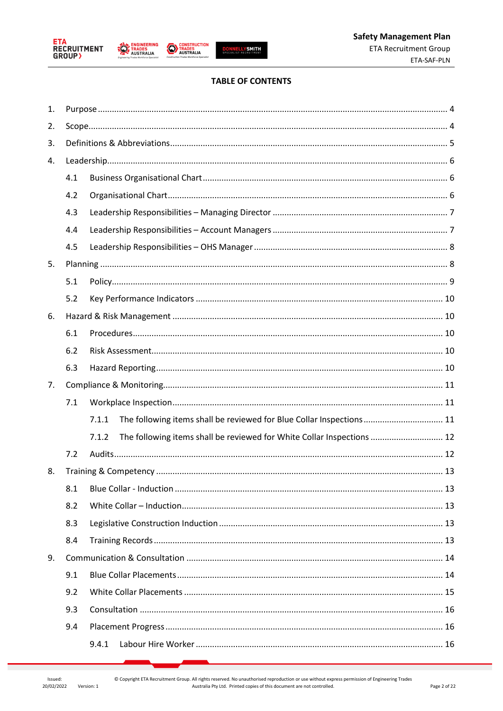





**CONSTRUCTION**<br>TRADES<br>AUSTRALIA

# **TABLE OF CONTENTS**

| 1. |     |                                                                                 |
|----|-----|---------------------------------------------------------------------------------|
| 2. |     |                                                                                 |
| 3. |     |                                                                                 |
| 4. |     |                                                                                 |
|    | 4.1 |                                                                                 |
|    | 4.2 |                                                                                 |
|    | 4.3 |                                                                                 |
|    | 4.4 |                                                                                 |
|    | 4.5 |                                                                                 |
| 5. |     |                                                                                 |
|    | 5.1 |                                                                                 |
|    | 5.2 |                                                                                 |
| 6. |     |                                                                                 |
|    | 6.1 |                                                                                 |
|    | 6.2 |                                                                                 |
|    | 6.3 |                                                                                 |
| 7. |     |                                                                                 |
|    | 7.1 |                                                                                 |
|    |     | 7.1.1<br>The following items shall be reviewed for Blue Collar Inspections 11   |
|    |     | The following items shall be reviewed for White Collar Inspections  12<br>7.1.2 |
|    | 7.2 |                                                                                 |
| 8. |     |                                                                                 |
|    | 8.1 |                                                                                 |
|    | 8.2 |                                                                                 |
|    | 8.3 |                                                                                 |
|    | 8.4 |                                                                                 |
| 9. |     |                                                                                 |
|    | 9.1 |                                                                                 |
|    | 9.2 |                                                                                 |
|    | 9.3 |                                                                                 |
|    | 9.4 |                                                                                 |
|    |     | 9.4.1                                                                           |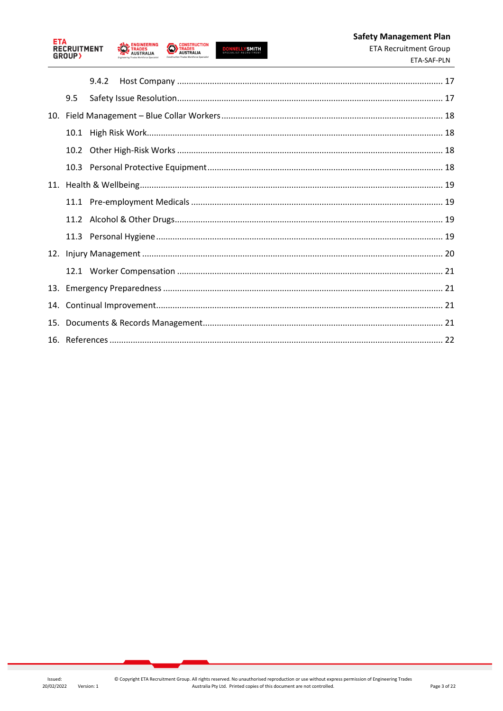

**ENGINEERING** 



**CONSTRUCTION**<br>TRADES<br>AUSTRALIA

|     |     | 9.4.2 |  |
|-----|-----|-------|--|
|     | 9.5 |       |  |
|     |     |       |  |
|     |     |       |  |
|     |     |       |  |
|     |     |       |  |
|     |     |       |  |
|     |     |       |  |
|     |     |       |  |
|     |     |       |  |
|     |     |       |  |
|     |     |       |  |
|     |     |       |  |
| 14. |     |       |  |
| 15. |     |       |  |
|     |     |       |  |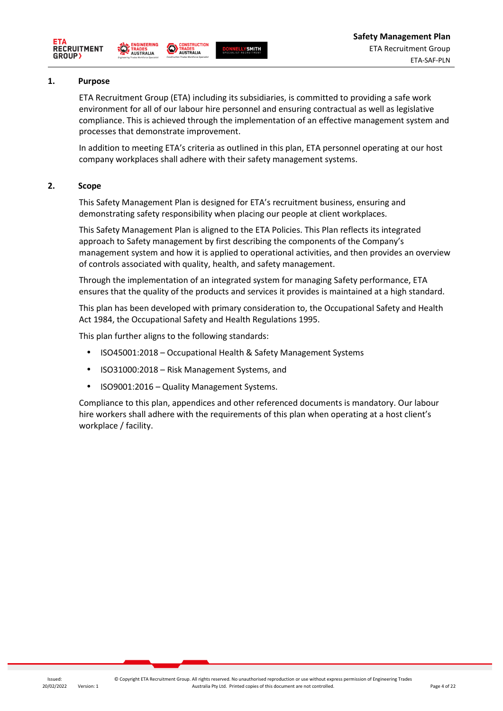





**CONSTRUCTION** 

#### **1. Purpose**

ETA Recruitment Group (ETA) including its subsidiaries, is committed to providing a safe work environment for all of our labour hire personnel and ensuring contractual as well as legislative compliance. This is achieved through the implementation of an effective management system and processes that demonstrate improvement.

In addition to meeting ETA's criteria as outlined in this plan, ETA personnel operating at our host company workplaces shall adhere with their safety management systems.

#### **2. Scope**

This Safety Management Plan is designed for ETA's recruitment business, ensuring and demonstrating safety responsibility when placing our people at client workplaces.

This Safety Management Plan is aligned to the ETA Policies. This Plan reflects its integrated approach to Safety management by first describing the components of the Company's management system and how it is applied to operational activities, and then provides an overview of controls associated with quality, health, and safety management.

Through the implementation of an integrated system for managing Safety performance, ETA ensures that the quality of the products and services it provides is maintained at a high standard.

This plan has been developed with primary consideration to, the Occupational Safety and Health Act 1984, the Occupational Safety and Health Regulations 1995.

This plan further aligns to the following standards:

- ISO45001:2018 Occupational Health & Safety Management Systems
- ISO31000:2018 Risk Management Systems, and
- ISO9001:2016 Quality Management Systems.

Compliance to this plan, appendices and other referenced documents is mandatory. Our labour hire workers shall adhere with the requirements of this plan when operating at a host client's workplace / facility.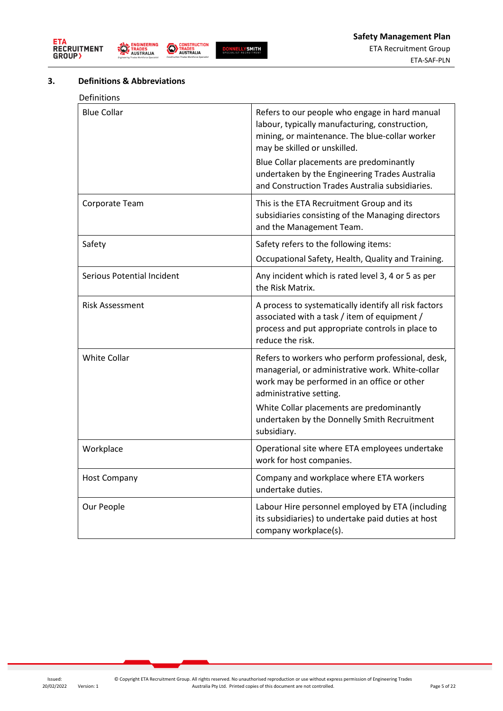





# **3. Definitions & Abbreviations**

| Definitions                |                                                                                                                                                                                                                                                                                             |
|----------------------------|---------------------------------------------------------------------------------------------------------------------------------------------------------------------------------------------------------------------------------------------------------------------------------------------|
| <b>Blue Collar</b>         | Refers to our people who engage in hard manual<br>labour, typically manufacturing, construction,<br>mining, or maintenance. The blue-collar worker<br>may be skilled or unskilled.<br>Blue Collar placements are predominantly                                                              |
|                            | undertaken by the Engineering Trades Australia<br>and Construction Trades Australia subsidiaries.                                                                                                                                                                                           |
| Corporate Team             | This is the ETA Recruitment Group and its<br>subsidiaries consisting of the Managing directors<br>and the Management Team.                                                                                                                                                                  |
| Safety                     | Safety refers to the following items:                                                                                                                                                                                                                                                       |
|                            | Occupational Safety, Health, Quality and Training.                                                                                                                                                                                                                                          |
| Serious Potential Incident | Any incident which is rated level 3, 4 or 5 as per<br>the Risk Matrix.                                                                                                                                                                                                                      |
| <b>Risk Assessment</b>     | A process to systematically identify all risk factors<br>associated with a task / item of equipment /<br>process and put appropriate controls in place to<br>reduce the risk.                                                                                                               |
| <b>White Collar</b>        | Refers to workers who perform professional, desk,<br>managerial, or administrative work. White-collar<br>work may be performed in an office or other<br>administrative setting.<br>White Collar placements are predominantly<br>undertaken by the Donnelly Smith Recruitment<br>subsidiary. |
| Workplace                  | Operational site where ETA employees undertake<br>work for host companies.                                                                                                                                                                                                                  |
| <b>Host Company</b>        | Company and workplace where ETA workers<br>undertake duties.                                                                                                                                                                                                                                |
| Our People                 | Labour Hire personnel employed by ETA (including<br>its subsidiaries) to undertake paid duties at host<br>company workplace(s).                                                                                                                                                             |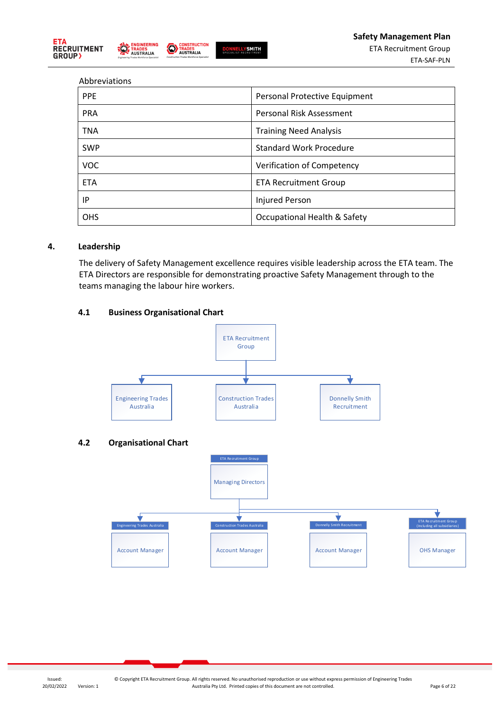





#### Abbreviations

| <b>PPE</b> | Personal Protective Equipment  |
|------------|--------------------------------|
| <b>PRA</b> | Personal Risk Assessment       |
| <b>TNA</b> | <b>Training Need Analysis</b>  |
| <b>SWP</b> | <b>Standard Work Procedure</b> |
| <b>VOC</b> | Verification of Competency     |
| <b>ETA</b> | <b>ETA Recruitment Group</b>   |
| ΙP         | <b>Injured Person</b>          |
| <b>OHS</b> | Occupational Health & Safety   |

#### **4. Leadership**

The delivery of Safety Management excellence requires visible leadership across the ETA team. The ETA Directors are responsible for demonstrating proactive Safety Management through to the teams managing the labour hire workers.

# **4.1 Business Organisational Chart**

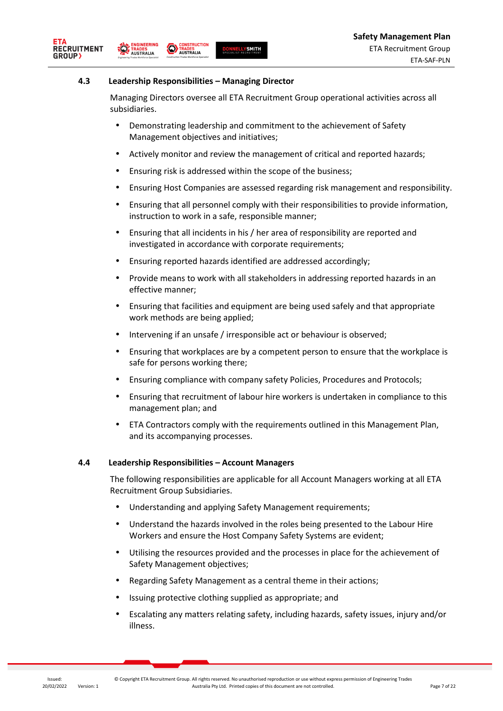

#### **4.3 Leadership Responsibilities – Managing Director**

**CONSTRUCT**<br>TRADES<br> **AUSTRALIA**<br>
Construction Trades Workforce St

**NGINEERING** 

**TRADES**<br>AUSTRALIA

RECRUITMENT

**GROUP** 

**CONSTRUCTION** 

Managing Directors oversee all ETA Recruitment Group operational activities across all subsidiaries.

- Demonstrating leadership and commitment to the achievement of Safety Management objectives and initiatives;
- Actively monitor and review the management of critical and reported hazards;
- Ensuring risk is addressed within the scope of the business;

**DONNELLYSMITH** 

- Ensuring Host Companies are assessed regarding risk management and responsibility.
- Ensuring that all personnel comply with their responsibilities to provide information, instruction to work in a safe, responsible manner;
- Ensuring that all incidents in his / her area of responsibility are reported and investigated in accordance with corporate requirements;
- Ensuring reported hazards identified are addressed accordingly;
- Provide means to work with all stakeholders in addressing reported hazards in an effective manner;
- Ensuring that facilities and equipment are being used safely and that appropriate work methods are being applied;
- Intervening if an unsafe / irresponsible act or behaviour is observed;
- Ensuring that workplaces are by a competent person to ensure that the workplace is safe for persons working there;
- Ensuring compliance with company safety Policies, Procedures and Protocols;
- Ensuring that recruitment of labour hire workers is undertaken in compliance to this management plan; and
- ETA Contractors comply with the requirements outlined in this Management Plan, and its accompanying processes.

#### **4.4 Leadership Responsibilities – Account Managers**

The following responsibilities are applicable for all Account Managers working at all ETA Recruitment Group Subsidiaries.

- Understanding and applying Safety Management requirements;
- Understand the hazards involved in the roles being presented to the Labour Hire Workers and ensure the Host Company Safety Systems are evident;
- Utilising the resources provided and the processes in place for the achievement of Safety Management objectives;
- Regarding Safety Management as a central theme in their actions;
- Issuing protective clothing supplied as appropriate; and
- Escalating any matters relating safety, including hazards, safety issues, injury and/or illness.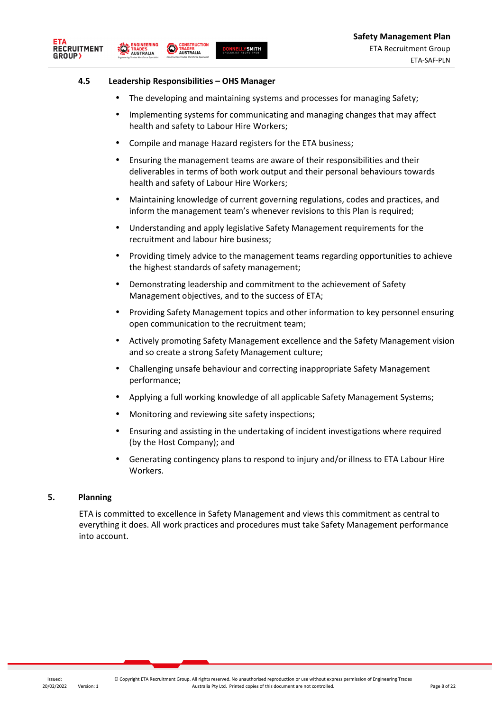



**IGINEERING** 

**TRADES**<br>AUSTRALIA

**CONSTRUCTION** 

**CONSTRUCT**<br>TRADES<br> **AUSTRALIA**<br>
Construction Trades Workforce St

- The developing and maintaining systems and processes for managing Safety;
- Implementing systems for communicating and managing changes that may affect health and safety to Labour Hire Workers;
- Compile and manage Hazard registers for the ETA business;

**DONNELLYSMITH** 

- Ensuring the management teams are aware of their responsibilities and their deliverables in terms of both work output and their personal behaviours towards health and safety of Labour Hire Workers;
- Maintaining knowledge of current governing regulations, codes and practices, and inform the management team's whenever revisions to this Plan is required;
- Understanding and apply legislative Safety Management requirements for the recruitment and labour hire business;
- Providing timely advice to the management teams regarding opportunities to achieve the highest standards of safety management;
- Demonstrating leadership and commitment to the achievement of Safety Management objectives, and to the success of ETA;
- Providing Safety Management topics and other information to key personnel ensuring open communication to the recruitment team;
- Actively promoting Safety Management excellence and the Safety Management vision and so create a strong Safety Management culture;
- Challenging unsafe behaviour and correcting inappropriate Safety Management performance;
- Applying a full working knowledge of all applicable Safety Management Systems;
- Monitoring and reviewing site safety inspections;
- Ensuring and assisting in the undertaking of incident investigations where required (by the Host Company); and
- Generating contingency plans to respond to injury and/or illness to ETA Labour Hire Workers.

#### **5. Planning**

ETA is committed to excellence in Safety Management and views this commitment as central to everything it does. All work practices and procedures must take Safety Management performance into account.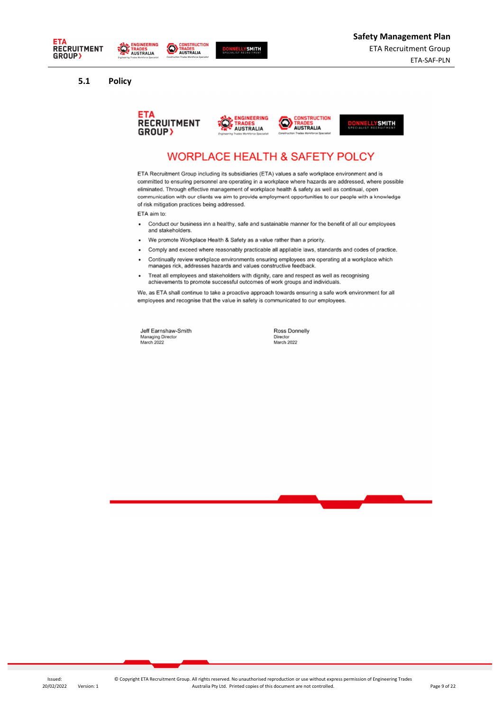





#### **5.1 Policy**









# **WORPLACE HEALTH & SAFETY POLCY**

ETA Recruitment Group including its subsidiaries (ETA) values a safe workplace environment and is committed to ensuring personnel are operating in a workplace where hazards are addressed, where possible eliminated. Through effective management of workplace health & safety as well as continual, open communication with our clients we aim to provide employment opportunities to our people with a knowledge of risk mitigation practices being addressed.

ETA aim to:

- Conduct our business inn a healthy, safe and sustainable manner for the benefit of all our employees  $\ddot{\phantom{0}}$ and stakeholders
- We promote Workplace Health & Safety as a value rather than a priority.
- Comply and exceed where reasonably practicable all appliable laws, standards and codes of practice.  $\ddot{\phantom{0}}$
- Continually review workplace environments ensuring employees are operating at a workplace which manages rick, addresses hazards and values constructive feedback.
- Treat all employees and stakeholders with dignity, care and respect as well as recognising<br>achievements to promote successful outcomes of work groups and individuals.  $\cdot$

We, as ETA shall continue to take a proactive approach towards ensuring a safe work environment for all employees and recognise that the value in safety is communicated to our employees.

Jeff Earnshaw-Smith Managing Director<br>Managing Director

Ross Donnelly Director<br>March 2022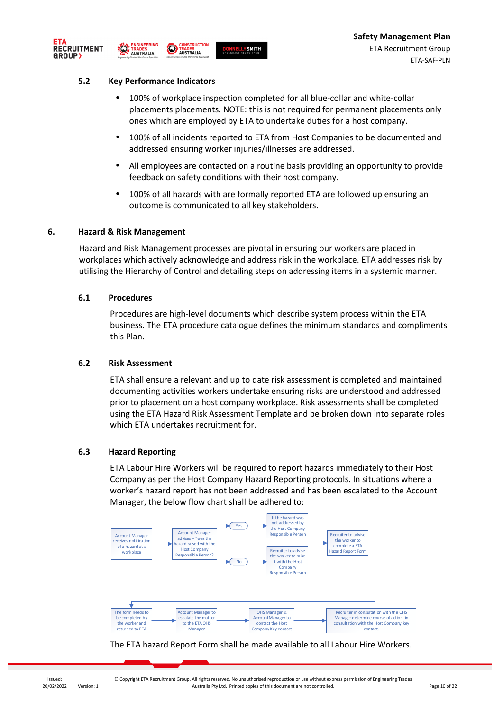

#### **5.2 Key Performance Indicators**

**CONSTRUCT**<br>**TRADES**<br> **AUSTRALIA**<br> **Construction Trades Workforce Sp CONSTRUCTION** 

- 100% of workplace inspection completed for all blue-collar and white-collar placements placements. NOTE: this is not required for permanent placements only ones which are employed by ETA to undertake duties for a host company.
- 100% of all incidents reported to ETA from Host Companies to be documented and addressed ensuring worker injuries/illnesses are addressed.
- All employees are contacted on a routine basis providing an opportunity to provide feedback on safety conditions with their host company.
- 100% of all hazards with are formally reported ETA are followed up ensuring an outcome is communicated to all key stakeholders.

### **6. Hazard & Risk Management**

Hazard and Risk Management processes are pivotal in ensuring our workers are placed in workplaces which actively acknowledge and address risk in the workplace. ETA addresses risk by utilising the Hierarchy of Control and detailing steps on addressing items in a systemic manner.

#### **6.1 Procedures**

Procedures are high-level documents which describe system process within the ETA business. The ETA procedure catalogue defines the minimum standards and compliments this Plan.

#### **6.2 Risk Assessment**

ETA shall ensure a relevant and up to date risk assessment is completed and maintained documenting activities workers undertake ensuring risks are understood and addressed prior to placement on a host company workplace. Risk assessments shall be completed using the ETA Hazard Risk Assessment Template and be broken down into separate roles which ETA undertakes recruitment for.

#### **6.3 Hazard Reporting**

ETA Labour Hire Workers will be required to report hazards immediately to their Host Company as per the Host Company Hazard Reporting protocols. In situations where a worker's hazard report has not been addressed and has been escalated to the Account Manager, the below flow chart shall be adhered to:



The ETA hazard Report Form shall be made available to all Labour Hire Workers.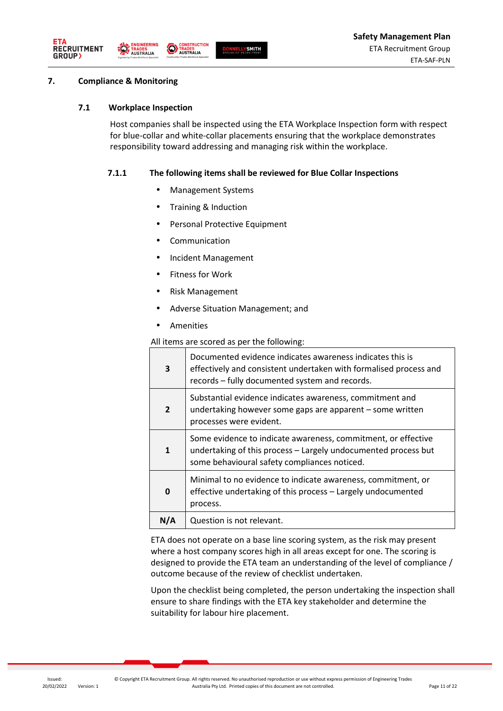





# **7. Compliance & Monitoring**

### **7.1 Workplace Inspection**

Host companies shall be inspected using the ETA Workplace Inspection form with respect for blue-collar and white-collar placements ensuring that the workplace demonstrates responsibility toward addressing and managing risk within the workplace.

### **7.1.1 The following items shall be reviewed for Blue Collar Inspections**

- Management Systems
- Training & Induction
- Personal Protective Equipment
- Communication
- Incident Management
- Fitness for Work
- Risk Management
- Adverse Situation Management; and
- Amenities

All items are scored as per the following:

| 3            | Documented evidence indicates awareness indicates this is<br>effectively and consistent undertaken with formalised process and<br>records - fully documented system and records. |
|--------------|----------------------------------------------------------------------------------------------------------------------------------------------------------------------------------|
| $\mathbf{2}$ | Substantial evidence indicates awareness, commitment and<br>undertaking however some gaps are apparent – some written<br>processes were evident.                                 |
| $\mathbf{1}$ | Some evidence to indicate awareness, commitment, or effective<br>undertaking of this process - Largely undocumented process but<br>some behavioural safety compliances noticed.  |
| 0            | Minimal to no evidence to indicate awareness, commitment, or<br>effective undertaking of this process - Largely undocumented<br>process.                                         |
| N/A          | Question is not relevant.                                                                                                                                                        |

ETA does not operate on a base line scoring system, as the risk may present where a host company scores high in all areas except for one. The scoring is designed to provide the ETA team an understanding of the level of compliance / outcome because of the review of checklist undertaken.

Upon the checklist being completed, the person undertaking the inspection shall ensure to share findings with the ETA key stakeholder and determine the suitability for labour hire placement.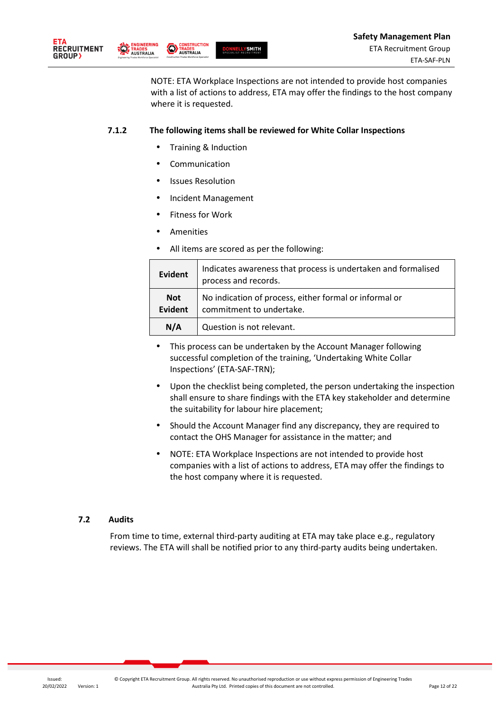

GINEERING

**TRADES**<br>AUSTRALIA



NOTE: ETA Workplace Inspections are not intended to provide host companies with a list of actions to address, ETA may offer the findings to the host company where it is requested.

### **7.1.2 The following items shall be reviewed for White Collar Inspections**

- Training & Induction
- **Communication**

**CONSTRUCT**<br>TRADES<br> **AUSTRALIA**<br> **Construction Trades Workforce Sy** 

- Issues Resolution
- Incident Management
- Fitness for Work
- **Amenities**
- All items are scored as per the following:

| <b>Evident</b>        | Indicates awareness that process is undertaken and formalised<br>process and records. |
|-----------------------|---------------------------------------------------------------------------------------|
| <b>Not</b><br>Evident | No indication of process, either formal or informal or<br>commitment to undertake.    |
| N/A                   | Question is not relevant.                                                             |

- This process can be undertaken by the Account Manager following successful completion of the training, 'Undertaking White Collar Inspections' (ETA-SAF-TRN);
- Upon the checklist being completed, the person undertaking the inspection shall ensure to share findings with the ETA key stakeholder and determine the suitability for labour hire placement;
- Should the Account Manager find any discrepancy, they are required to contact the OHS Manager for assistance in the matter; and
- NOTE: ETA Workplace Inspections are not intended to provide host companies with a list of actions to address, ETA may offer the findings to the host company where it is requested.

#### **7.2 Audits**

From time to time, external third-party auditing at ETA may take place e.g., regulatory reviews. The ETA will shall be notified prior to any third-party audits being undertaken.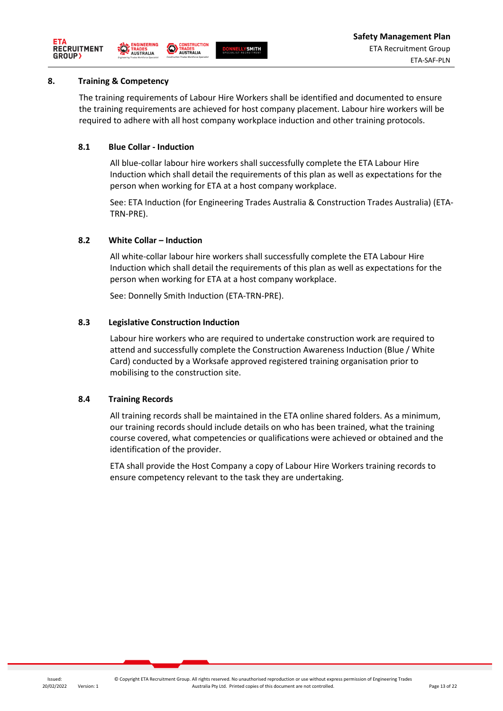



#### **8. Training & Competency**

The training requirements of Labour Hire Workers shall be identified and documented to ensure the training requirements are achieved for host company placement. Labour hire workers will be required to adhere with all host company workplace induction and other training protocols.

# **8.1 Blue Collar - Induction**

All blue-collar labour hire workers shall successfully complete the ETA Labour Hire Induction which shall detail the requirements of this plan as well as expectations for the person when working for ETA at a host company workplace.

See: ETA Induction (for Engineering Trades Australia & Construction Trades Australia) (ETA-TRN-PRE).

# **8.2 White Collar – Induction**

All white-collar labour hire workers shall successfully complete the ETA Labour Hire Induction which shall detail the requirements of this plan as well as expectations for the person when working for ETA at a host company workplace.

See: Donnelly Smith Induction (ETA-TRN-PRE).

### **8.3 Legislative Construction Induction**

Labour hire workers who are required to undertake construction work are required to attend and successfully complete the Construction Awareness Induction (Blue / White Card) conducted by a Worksafe approved registered training organisation prior to mobilising to the construction site.

# **8.4 Training Records**

All training records shall be maintained in the ETA online shared folders. As a minimum, our training records should include details on who has been trained, what the training course covered, what competencies or qualifications were achieved or obtained and the identification of the provider.

ETA shall provide the Host Company a copy of Labour Hire Workers training records to ensure competency relevant to the task they are undertaking.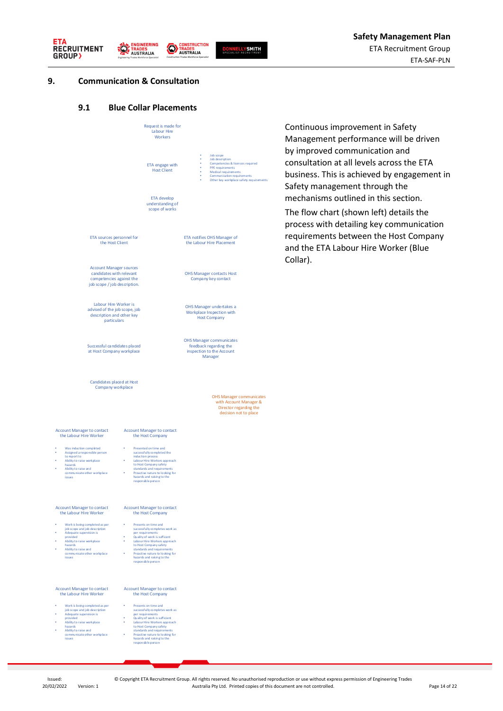





#### **9. Communication & Consultation**

# **9.1 Blue Collar Placements**

|                                                                                                                                                                                                                        | Request is made for<br>Labour Hire<br>Workers                                                                                                                                                                                                                                                            |                                                                                                                                                                                                  |
|------------------------------------------------------------------------------------------------------------------------------------------------------------------------------------------------------------------------|----------------------------------------------------------------------------------------------------------------------------------------------------------------------------------------------------------------------------------------------------------------------------------------------------------|--------------------------------------------------------------------------------------------------------------------------------------------------------------------------------------------------|
|                                                                                                                                                                                                                        | ETA engage with<br><b>Host Client</b>                                                                                                                                                                                                                                                                    | Job scope<br>Job description<br>Competencies & licences required<br>×.<br>PPE requirements<br>۰<br>Medical requirements<br>Communication requirements<br>Other key workplace safety requirements |
|                                                                                                                                                                                                                        | ETA develop<br>understanding of<br>scope of works                                                                                                                                                                                                                                                        |                                                                                                                                                                                                  |
| ETA sources personnel for<br>the Host Client                                                                                                                                                                           |                                                                                                                                                                                                                                                                                                          | ETA notifies OHS Manager of<br>the Labour Hire Placement                                                                                                                                         |
| <b>Account Manager sources</b><br>candidates with relevant<br>competencies against the<br>job scope / job description.                                                                                                 |                                                                                                                                                                                                                                                                                                          | <b>OHS Manager contacts Host</b><br>Company key contact                                                                                                                                          |
| Labour Hire Worker is<br>advised of the job scope, job<br>description and other key<br>particulars                                                                                                                     |                                                                                                                                                                                                                                                                                                          | OHS Manager undertakes a<br>Workplace Inspection with<br><b>Host Company</b>                                                                                                                     |
| Successful candidates placed<br>at Host Company workplace                                                                                                                                                              |                                                                                                                                                                                                                                                                                                          | <b>OHS Manager communicates</b><br>feedback regarding the<br>inspection to the Account<br>Manager                                                                                                |
| Candidates placed at Host<br>Company workplace                                                                                                                                                                         |                                                                                                                                                                                                                                                                                                          | OHS Manager communicates<br>with Account Manager &<br>Director regarding the<br>decision not to place                                                                                            |
| <b>Account Manager to contact</b><br>the Labour Hire Worker                                                                                                                                                            | <b>Account Manager to contact</b><br>the Host Company                                                                                                                                                                                                                                                    |                                                                                                                                                                                                  |
| Was induction completed<br>Assigned a responsible person<br>to report to<br>Ability to raise workplace<br>hazards<br>Ability to raise and<br>communicate o ther workplace<br>issues                                    | Presented on time and<br>successfully completed the<br>induction process<br>Labour Hire Workers approach<br>to Host Company safety<br>standards and requirements<br>$\bullet$<br>Proactive nature to looking for<br>hazards and raising to the<br>responsible person                                     |                                                                                                                                                                                                  |
| <b>Account Manager to contact</b><br>the Labour Hire Worker                                                                                                                                                            | <b>Account Manager to contact</b><br>the Host Company                                                                                                                                                                                                                                                    |                                                                                                                                                                                                  |
| Work is being completed as per<br>job scope and job description<br>Adequate supervision is<br>provided<br>Ability to raise workplace<br>hazards<br>Ability to raise and<br>communicate other workplace<br>issues       | Presents on time and<br>٠<br>successfully completes work as<br>per requirements<br>Quality of work is sufficent<br>Labour Hire Workers approach<br>٠<br>to Host Company safety<br>standards and requirements<br>Proactive nature to looking for<br>٠<br>hazards and raising to the<br>responsible person |                                                                                                                                                                                                  |
| <b>Account Manager to contact</b><br>the Labour Hire Worker                                                                                                                                                            | <b>Account Manager to contact</b><br>the Host Company                                                                                                                                                                                                                                                    |                                                                                                                                                                                                  |
| Work is being completed as per<br>o<br>job scope and job description<br>Adequate supervision is<br>provided<br>Ability to raise workplace<br>hazards<br>Ability to raise and<br>communicate o ther workplace<br>issues | Presents on time and<br>successfully completes work as<br>per requirements<br>Quality of work is sufficient<br>٠<br>Labour Hire Workers approach<br>to Host Company safety<br>standards and requirements<br>Proactive nature to looking for<br>٠<br>hazards and raising to the<br>respon sible person    |                                                                                                                                                                                                  |

Continuous improvement in Safety Management performance will be driven by improved communication and consultation at all levels across the ETA business. This is achieved by engagement in Safety management through the mechanisms outlined in this section.

The flow chart (shown left) details the process with detailing key communication requirements between the Host Company and the ETA Labour Hire Worker (Blue Collar).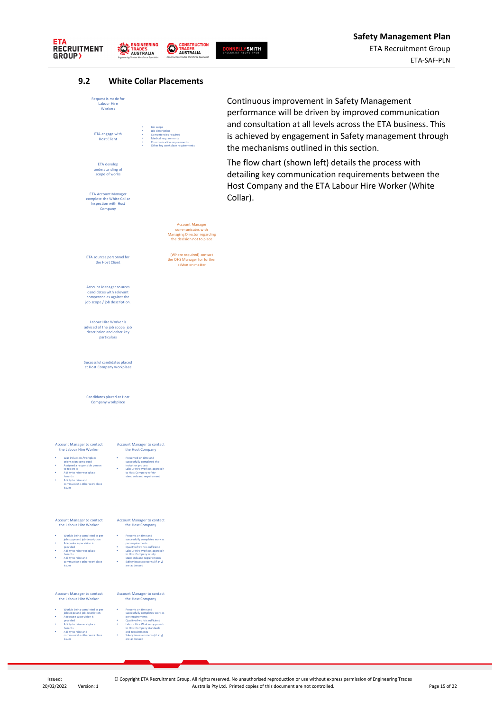



**DONNELLYSMITH**<br>SPECIALIST RECRUITMENT

### **9.2 White Collar Placements**



Continuous improvement in Safety Management performance will be driven by improved communication and consultation at all levels across the ETA business. This is achieved by engagement in Safety management through the mechanisms outlined in this section.

The flow chart (shown left) details the process with detailing key communication requirements between the Host Company and the ETA Labour Hire Worker (White Collar).

# issues

#### Account Manager to contact the Labour Hire Worker

- 
- 
- 
- -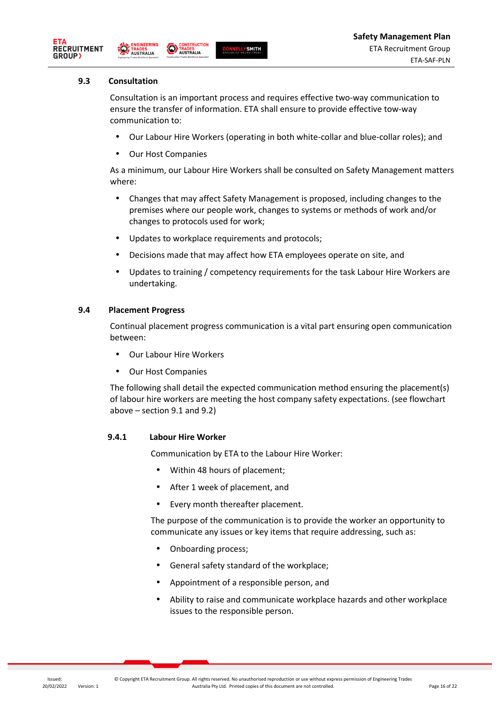





#### **9.3 Consultation**

Consultation is an important process and requires effective two-way communication to ensure the transfer of information. ETA shall ensure to provide effective tow-way communication to:

- Our Labour Hire Workers (operating in both white-collar and blue-collar roles); and
- Our Host Companies

As a minimum, our Labour Hire Workers shall be consulted on Safety Management matters where:

- Changes that may affect Safety Management is proposed, including changes to the premises where our people work, changes to systems or methods of work and/or changes to protocols used for work;
- Updates to workplace requirements and protocols;
- Decisions made that may affect how ETA employees operate on site, and
- Updates to training / competency requirements for the task Labour Hire Workers are undertaking.

### **9.4 Placement Progress**

Continual placement progress communication is a vital part ensuring open communication between:

- Our Labour Hire Workers
- Our Host Companies

The following shall detail the expected communication method ensuring the placement(s) of labour hire workers are meeting the host company safety expectations. (see flowchart above – section 9.1 and 9.2)

#### **9.4.1 Labour Hire Worker**

Communication by ETA to the Labour Hire Worker:

- Within 48 hours of placement;
- After 1 week of placement, and
- Every month thereafter placement.

The purpose of the communication is to provide the worker an opportunity to communicate any issues or key items that require addressing, such as:

- Onboarding process;
- General safety standard of the workplace;
- Appointment of a responsible person, and
- Ability to raise and communicate workplace hazards and other workplace issues to the responsible person.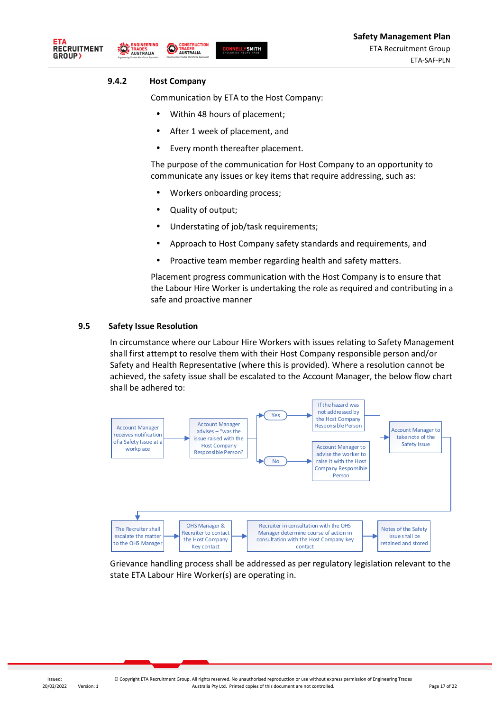





#### **9.4.2 Host Company**

Communication by ETA to the Host Company:

- Within 48 hours of placement;
- After 1 week of placement, and
- Every month thereafter placement.

The purpose of the communication for Host Company to an opportunity to communicate any issues or key items that require addressing, such as:

- Workers onboarding process;
- Quality of output;

**CONSTRUCTION** 

- Understating of job/task requirements;
- Approach to Host Company safety standards and requirements, and
- Proactive team member regarding health and safety matters.

Placement progress communication with the Host Company is to ensure that the Labour Hire Worker is undertaking the role as required and contributing in a safe and proactive manner

#### **9.5 Safety Issue Resolution**

In circumstance where our Labour Hire Workers with issues relating to Safety Management shall first attempt to resolve them with their Host Company responsible person and/or Safety and Health Representative (where this is provided). Where a resolution cannot be achieved, the safety issue shall be escalated to the Account Manager, the below flow chart shall be adhered to:



Grievance handling process shall be addressed as per regulatory legislation relevant to the state ETA Labour Hire Worker(s) are operating in.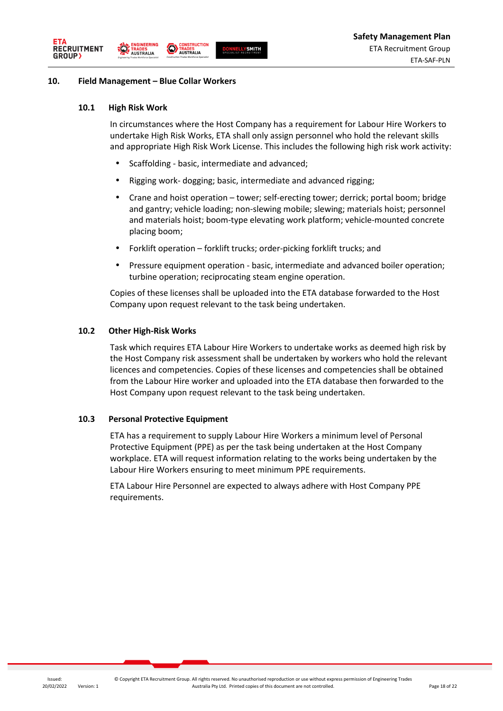



#### **10. Field Management – Blue Collar Workers**

**IGINEERING** 

**TRADES**<br>AUSTRALIA

#### **10.1 High Risk Work**

In circumstances where the Host Company has a requirement for Labour Hire Workers to undertake High Risk Works, ETA shall only assign personnel who hold the relevant skills and appropriate High Risk Work License. This includes the following high risk work activity:

- Scaffolding basic, intermediate and advanced;
- Rigging work- dogging; basic, intermediate and advanced rigging;
- Crane and hoist operation tower; self-erecting tower; derrick; portal boom; bridge and gantry; vehicle loading; non-slewing mobile; slewing; materials hoist; personnel and materials hoist; boom-type elevating work platform; vehicle-mounted concrete placing boom;
- Forklift operation forklift trucks; order-picking forklift trucks; and
- Pressure equipment operation basic, intermediate and advanced boiler operation; turbine operation; reciprocating steam engine operation.

Copies of these licenses shall be uploaded into the ETA database forwarded to the Host Company upon request relevant to the task being undertaken.

#### **10.2 Other High-Risk Works**

Task which requires ETA Labour Hire Workers to undertake works as deemed high risk by the Host Company risk assessment shall be undertaken by workers who hold the relevant licences and competencies. Copies of these licenses and competencies shall be obtained from the Labour Hire worker and uploaded into the ETA database then forwarded to the Host Company upon request relevant to the task being undertaken.

#### **10.3 Personal Protective Equipment**

ETA has a requirement to supply Labour Hire Workers a minimum level of Personal Protective Equipment (PPE) as per the task being undertaken at the Host Company workplace. ETA will request information relating to the works being undertaken by the Labour Hire Workers ensuring to meet minimum PPE requirements.

ETA Labour Hire Personnel are expected to always adhere with Host Company PPE requirements.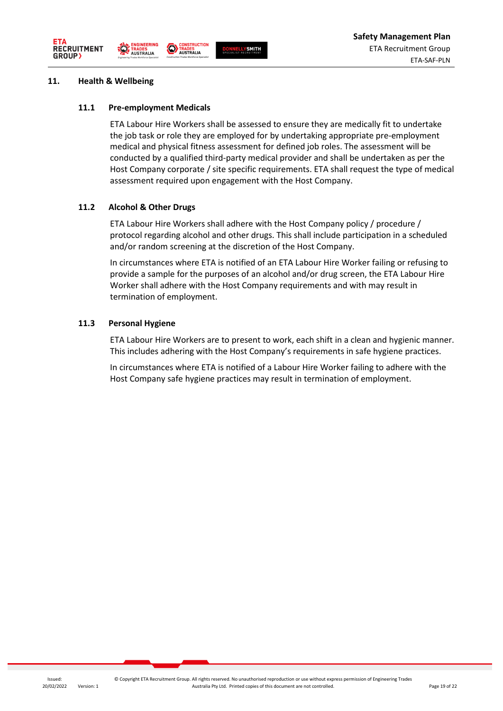





#### **11. Health & Wellbeing**

#### **11.1 Pre-employment Medicals**

ETA Labour Hire Workers shall be assessed to ensure they are medically fit to undertake the job task or role they are employed for by undertaking appropriate pre-employment medical and physical fitness assessment for defined job roles. The assessment will be conducted by a qualified third-party medical provider and shall be undertaken as per the Host Company corporate / site specific requirements. ETA shall request the type of medical assessment required upon engagement with the Host Company.

#### **11.2 Alcohol & Other Drugs**

ETA Labour Hire Workers shall adhere with the Host Company policy / procedure / protocol regarding alcohol and other drugs. This shall include participation in a scheduled and/or random screening at the discretion of the Host Company.

In circumstances where ETA is notified of an ETA Labour Hire Worker failing or refusing to provide a sample for the purposes of an alcohol and/or drug screen, the ETA Labour Hire Worker shall adhere with the Host Company requirements and with may result in termination of employment.

#### **11.3 Personal Hygiene**

ETA Labour Hire Workers are to present to work, each shift in a clean and hygienic manner. This includes adhering with the Host Company's requirements in safe hygiene practices.

In circumstances where ETA is notified of a Labour Hire Worker failing to adhere with the Host Company safe hygiene practices may result in termination of employment.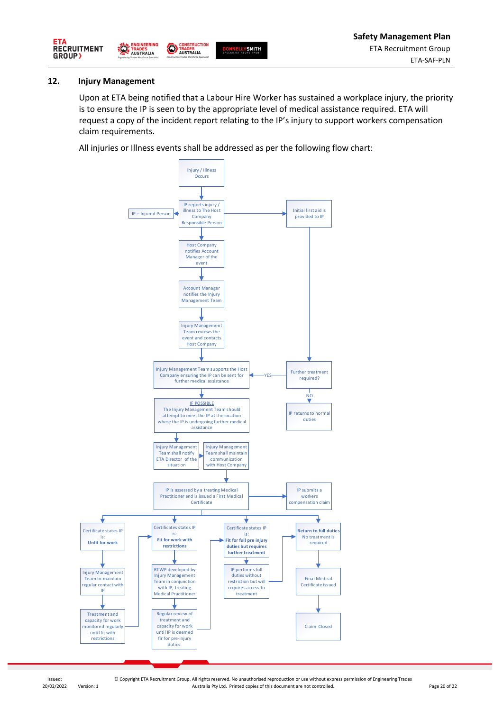

#### **12. Injury Management**

Upon at ETA being notified that a Labour Hire Worker has sustained a workplace injury, the priority is to ensure the IP is seen to by the appropriate level of medical assistance required. ETA will request a copy of the incident report relating to the IP's injury to support workers compensation claim requirements.

All injuries or Illness events shall be addressed as per the following flow chart:

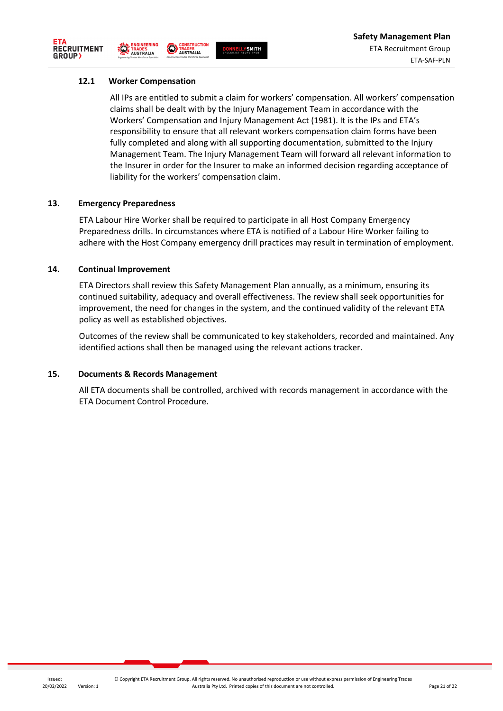



**CONSTRUCTION** 

# **12.1 Worker Compensation**

All IPs are entitled to submit a claim for workers' compensation. All workers' compensation claims shall be dealt with by the Injury Management Team in accordance with the Workers' Compensation and Injury Management Act (1981). It is the IPs and ETA's responsibility to ensure that all relevant workers compensation claim forms have been fully completed and along with all supporting documentation, submitted to the Injury Management Team. The Injury Management Team will forward all relevant information to the Insurer in order for the Insurer to make an informed decision regarding acceptance of liability for the workers' compensation claim.

### **13. Emergency Preparedness**

ETA Labour Hire Worker shall be required to participate in all Host Company Emergency Preparedness drills. In circumstances where ETA is notified of a Labour Hire Worker failing to adhere with the Host Company emergency drill practices may result in termination of employment.

#### **14. Continual Improvement**

ETA Directors shall review this Safety Management Plan annually, as a minimum, ensuring its continued suitability, adequacy and overall effectiveness. The review shall seek opportunities for improvement, the need for changes in the system, and the continued validity of the relevant ETA policy as well as established objectives.

Outcomes of the review shall be communicated to key stakeholders, recorded and maintained. Any identified actions shall then be managed using the relevant actions tracker.

#### **15. Documents & Records Management**

All ETA documents shall be controlled, archived with records management in accordance with the ETA Document Control Procedure.